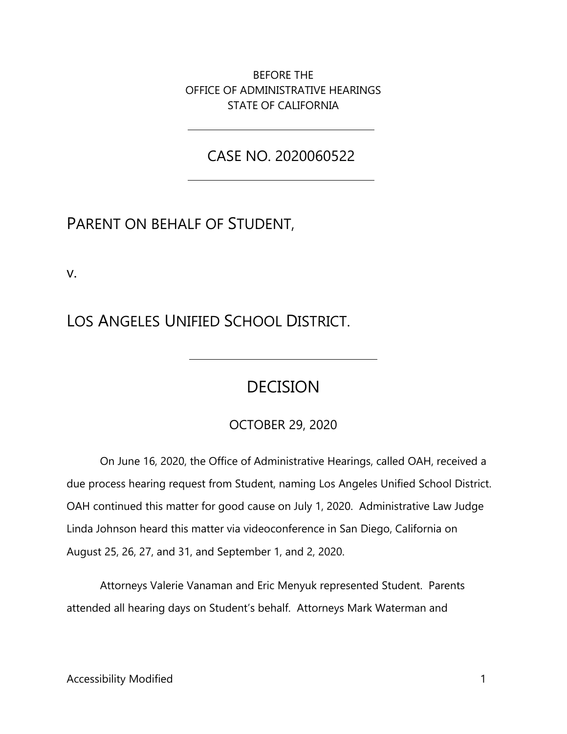BEFORE THE OFFICE OF ADMINISTRATIVE HEARINGS STATE OF CALIFORNIA

CASE NO. 2020060522

# PARENT ON BEHALF OF STUDENT,

v.

LOS ANGELES UNIFIED SCHOOL DISTRICT.

# DECISION

## OCTOBER 29, 2020

 OAH continued this matter for good cause on July 1, 2020. Administrative Law Judge On June 16, 2020, the Office of Administrative Hearings, called OAH, received a due process hearing request from Student, naming Los Angeles Unified School District. Linda Johnson heard this matter via videoconference in San Diego, California on August 25, 26, 27, and 31, and September 1, and 2, 2020.

 attended all hearing days on Student's behalf. Attorneys Mark Waterman and Attorneys Valerie Vanaman and Eric Menyuk represented Student. Parents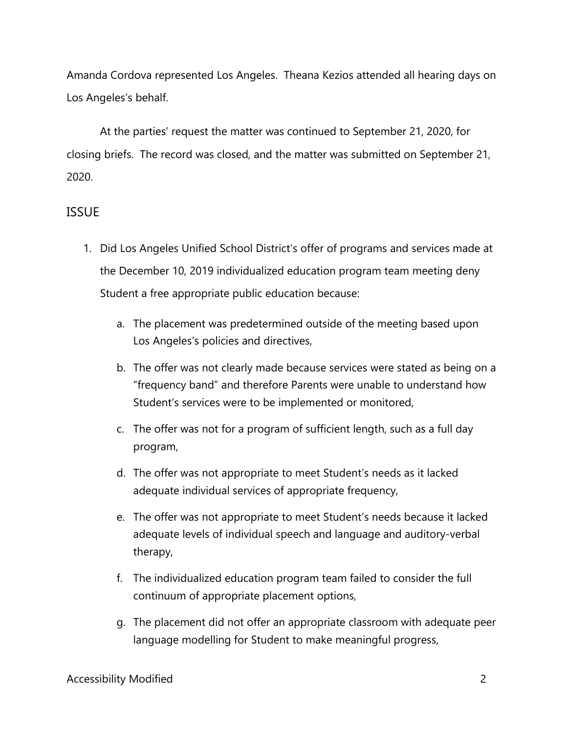Amanda Cordova represented Los Angeles. Theana Kezios attended all hearing days on Los Angeles's behalf.

 closing briefs. The record was closed, and the matter was submitted on September 21, At the parties' request the matter was continued to September 21, 2020, for 2020.

## ISSUE

- 1. Did Los Angeles Unified School District's offer of programs and services made at the December 10, 2019 individualized education program team meeting deny Student a free appropriate public education because:
	- Los Angeles's policies and directives, a. The placement was predetermined outside of the meeting based upon
	- "frequency band" and therefore Parents were unable to understand how b. The offer was not clearly made because services were stated as being on a Student's services were to be implemented or monitored,
	- c. The offer was not for a program of sufficient length, such as a full day program,
	- d. The offer was not appropriate to meet Student's needs as it lacked adequate individual services of appropriate frequency,
	- e. The offer was not appropriate to meet Student's needs because it lacked adequate levels of individual speech and language and auditory-verbal therapy,
	- f. The individualized education program team failed to consider the full continuum of appropriate placement options,
	- g. The placement did not offer an appropriate classroom with adequate peer language modelling for Student to make meaningful progress,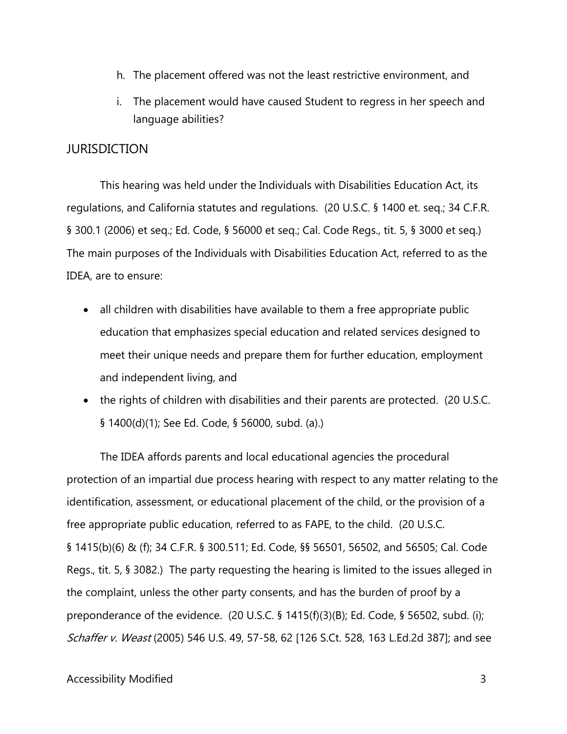- h. The placement offered was not the least restrictive environment, and
- i. The placement would have caused Student to regress in her speech and language abilities?

## **JURISDICTION**

 § 300.1 (2006) et seq.; Ed. Code, § 56000 et seq.; Cal. Code Regs., tit. 5, § 3000 et seq.) This hearing was held under the Individuals with Disabilities Education Act, its regulations, and California statutes and regulations. (20 U.S.C. § 1400 et. seq.; 34 C.F.R. The main purposes of the Individuals with Disabilities Education Act, referred to as the IDEA, are to ensure:

- all children with disabilities have available to them a free appropriate public education that emphasizes special education and related services designed to meet their unique needs and prepare them for further education, employment and independent living, and
- • the rights of children with disabilities and their parents are protected. (20 U.S.C. § 1400(d)(1); See Ed. Code, § 56000, subd. (a).)

The IDEA affords parents and local educational agencies the procedural protection of an impartial due process hearing with respect to any matter relating to the identification, assessment, or educational placement of the child, or the provision of a free appropriate public education, referred to as FAPE, to the child. (20 U.S.C. § 1415(b)(6) & (f); 34 C.F.R. § 300.511; Ed. Code, §§ 56501, 56502, and 56505; Cal. Code Regs., tit. 5, § 3082.) The party requesting the hearing is limited to the issues alleged in the complaint, unless the other party consents, and has the burden of proof by a preponderance of the evidence. (20 U.S.C. § 1415(f)(3)(B); Ed. Code, § 56502, subd. (i); Schaffer v. Weast (2005) 546 U.S. 49, 57-58, 62 [126 S.Ct. 528, 163 L.Ed.2d 387]; and see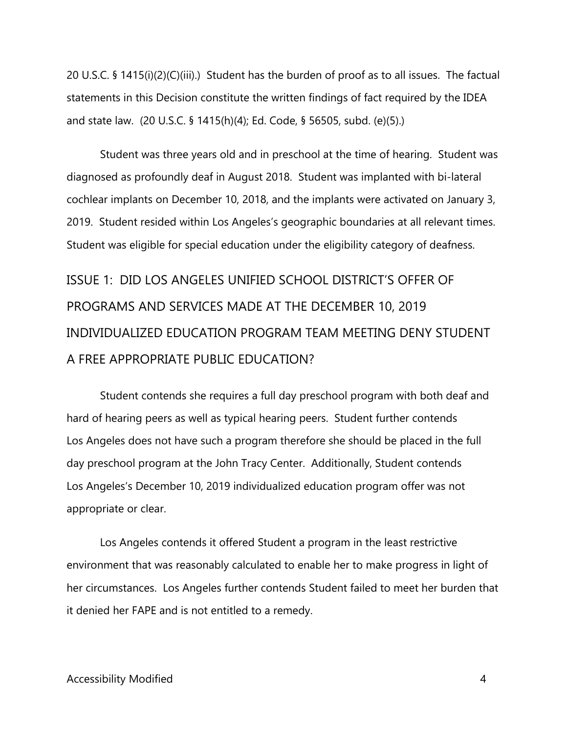20 U.S.C. § 1415(i)(2)(C)(iii).) Student has the burden of proof as to all issues. The factual statements in this Decision constitute the written findings of fact required by the IDEA and state law. (20 U.S.C. § 1415(h)(4); Ed. Code, § 56505, subd. (e)(5).)

 Student was three years old and in preschool at the time of hearing. Student was cochlear implants on December 10, 2018, and the implants were activated on January 3, 2019. Student resided within Los Angeles's geographic boundaries at all relevant times. diagnosed as profoundly deaf in August 2018. Student was implanted with bi-lateral Student was eligible for special education under the eligibility category of deafness.

 ISSUE 1: DID LOS ANGELES UNIFIED SCHOOL DISTRICT'S OFFER OF PROGRAMS AND SERVICES MADE AT THE DECEMBER 10, 2019 INDIVIDUALIZED EDUCATION PROGRAM TEAM MEETING DENY STUDENT A FREE APPROPRIATE PUBLIC EDUCATION?

 hard of hearing peers as well as typical hearing peers. Student further contends day preschool program at the John Tracy Center. Additionally, Student contends Los Angeles's December 10, 2019 individualized education program offer was not Student contends she requires a full day preschool program with both deaf and Los Angeles does not have such a program therefore she should be placed in the full appropriate or clear.

Los Angeles contends it offered Student a program in the least restrictive environment that was reasonably calculated to enable her to make progress in light of her circumstances. Los Angeles further contends Student failed to meet her burden that it denied her FAPE and is not entitled to a remedy.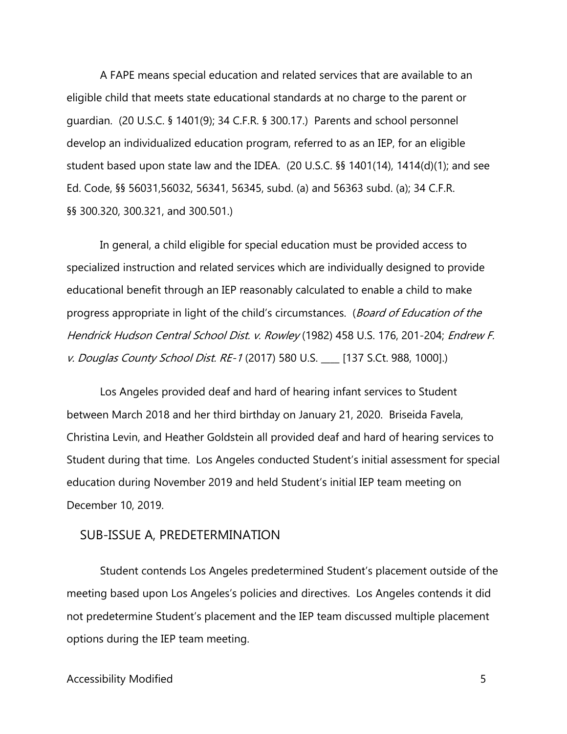A FAPE means special education and related services that are available to an eligible child that meets state educational standards at no charge to the parent or guardian. (20 U.S.C. § 1401(9); 34 C.F.R. § 300.17.) Parents and school personnel develop an individualized education program, referred to as an IEP, for an eligible student based upon state law and the IDEA. (20 U.S.C. §§ 1401(14), 1414(d)(1); and see Ed. Code, §§ 56031,56032, 56341, 56345, subd. (a) and 56363 subd. (a); 34 C.F.R. §§ 300.320, 300.321, and 300.501.)

In general, a child eligible for special education must be provided access to specialized instruction and related services which are individually designed to provide educational benefit through an IEP reasonably calculated to enable a child to make progress appropriate in light of the child's circumstances. (Board of Education of the Hendrick Hudson Central School Dist. v. Rowley (1982) 458 U.S. 176, 201-204; Endrew F. v. Douglas County School Dist. RE-1 (2017) 580 U.S. \_\_\_\_ [137 S.Ct. 988, 1000].)

 Student during that time. Los Angeles conducted Student's initial assessment for special Los Angeles provided deaf and hard of hearing infant services to Student between March 2018 and her third birthday on January 21, 2020. Briseida Favela, Christina Levin, and Heather Goldstein all provided deaf and hard of hearing services to education during November 2019 and held Student's initial IEP team meeting on December 10, 2019.

### SUB-ISSUE A, PREDETERMINATION

SUB-ISSUE A, PREDETERMINATION<br>Student contends Los Angeles predetermined Student's placement outside of the meeting based upon Los Angeles's policies and directives. Los Angeles contends it did not predetermine Student's placement and the IEP team discussed multiple placement options during the IEP team meeting.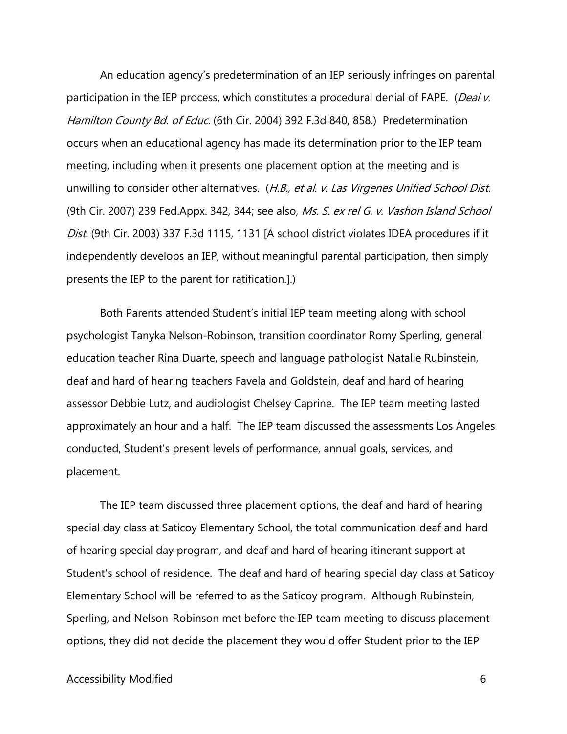participation in the IEP process, which constitutes a procedural denial of FAPE. (*Deal v.* (9th Cir. 2007) 239 Fed.Appx. 342, 344; see also, *Ms. S. ex rel G. v. Vashon Island School* An education agency's predetermination of an IEP seriously infringes on parental Hamilton County Bd. of Educ. (6th Cir. 2004) 392 F.3d 840, 858.) Predetermination occurs when an educational agency has made its determination prior to the IEP team meeting, including when it presents one placement option at the meeting and is unwilling to consider other alternatives. (H.B., et al. v. Las Virgenes Unified School Dist. Dist. (9th Cir. 2003) 337 F.3d 1115, 1131 [A school district violates IDEA procedures if it independently develops an IEP, without meaningful parental participation, then simply presents the IEP to the parent for ratification.].)

 approximately an hour and a half. The IEP team discussed the assessments Los Angeles Both Parents attended Student's initial IEP team meeting along with school psychologist Tanyka Nelson-Robinson, transition coordinator Romy Sperling, general education teacher Rina Duarte, speech and language pathologist Natalie Rubinstein, deaf and hard of hearing teachers Favela and Goldstein, deaf and hard of hearing assessor Debbie Lutz, and audiologist Chelsey Caprine. The IEP team meeting lasted conducted, Student's present levels of performance, annual goals, services, and placement.

 special day class at Saticoy Elementary School, the total communication deaf and hard Student's school of residence. The deaf and hard of hearing special day class at Saticoy Elementary School will be referred to as the Saticoy program. Although Rubinstein, options, they did not decide the placement they would offer Student prior to the IEP The IEP team discussed three placement options, the deaf and hard of hearing of hearing special day program, and deaf and hard of hearing itinerant support at Sperling, and Nelson-Robinson met before the IEP team meeting to discuss placement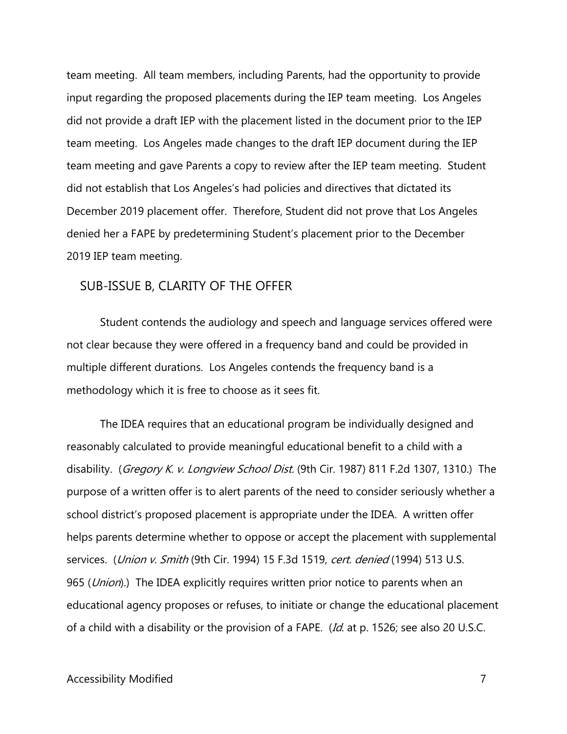input regarding the proposed placements during the IEP team meeting. Los Angeles team meeting and gave Parents a copy to review after the IEP team meeting. Student December 2019 placement offer. Therefore, Student did not prove that Los Angeles team meeting. All team members, including Parents, had the opportunity to provide did not provide a draft IEP with the placement listed in the document prior to the IEP team meeting. Los Angeles made changes to the draft IEP document during the IEP did not establish that Los Angeles's had policies and directives that dictated its denied her a FAPE by predetermining Student's placement prior to the December 2019 IEP team meeting.

#### SUB-ISSUE B, CLARITY OF THE OFFER

Student contends the audiology and speech and language services offered were not clear because they were offered in a frequency band and could be provided in multiple different durations. Los Angeles contends the frequency band is a methodology which it is free to choose as it sees fit.

disability.(*Gregory K. v. Longview School Dist.* (9th Cir. 1987) 811 F.2d 1307, 1310.) The school district's proposed placement is appropriate under the IDEA. A written offer The IDEA requires that an educational program be individually designed and reasonably calculated to provide meaningful educational benefit to a child with a purpose of a written offer is to alert parents of the need to consider seriously whether a helps parents determine whether to oppose or accept the placement with supplemental services. (*Union v. Smith* (9th Cir. 1994) 15 F.3d 1519, cert. denied (1994) 513 U.S. 965 (Union).) The IDEA explicitly requires written prior notice to parents when an educational agency proposes or refuses, to initiate or change the educational placement of a child with a disability or the provision of a FAPE. (Id. at p. 1526; see also 20 U.S.C.

#### Accessibility Modified 7 and 2008 7 and 2008 7 and 2008 7 and 2008 7 and 2008 7 and 2008 7 and 2008 7 and 2008 7 and 2008 7 and 2008 7 and 2008 7 and 2008 7 and 2008 7 and 2008 7 and 2008 7 and 2008 7 and 2008 7 and 2008 7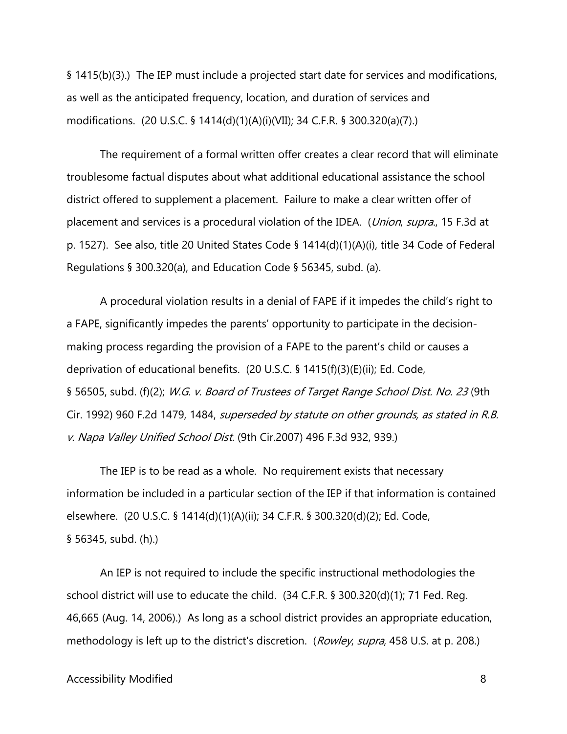§ 1415(b)(3).) The IEP must include a projected start date for services and modifications, as well as the anticipated frequency, location, and duration of services and modifications. (20 U.S.C. § 1414(d)(1)(A)(i)(VII); 34 C.F.R. § 300.320(a)(7).)

The requirement of a formal written offer creates a clear record that will eliminate troublesome factual disputes about what additional educational assistance the school district offered to supplement a placement. Failure to make a clear written offer of placement and services is a procedural violation of the IDEA. (*Union, supra.*, 15 F.3d at p. 1527). See also, title 20 United States Code § 1414(d)(1)(A)(i), title 34 Code of Federal Regulations § 300.320(a), and Education Code § 56345, subd. (a).

A procedural violation results in a denial of FAPE if it impedes the child's right to a FAPE, significantly impedes the parents' opportunity to participate in the decisionmaking process regarding the provision of a FAPE to the parent's child or causes a deprivation of educational benefits. (20 U.S.C. § 1415(f)(3)(E)(ii); Ed. Code, § 56505, subd. (f)(2); W.G. v. Board of Trustees of Target Range School Dist. No. 23 (9th Cir. 1992) 960 F.2d 1479, 1484, superseded by statute on other grounds, as stated in R.B. v. Napa Valley Unified School Dist. (9th Cir.2007) 496 F.3d 932, 939.)

 The IEP is to be read as a whole. No requirement exists that necessary § 56345, subd. (h).) information be included in a particular section of the IEP if that information is contained elsewhere. (20 U.S.C. § 1414(d)(1)(A)(ii); 34 C.F.R. § 300.320(d)(2); Ed. Code,

 school district will use to educate the child. (34 C.F.R. § 300.320(d)(1); 71 Fed. Reg. 46,665 (Aug. 14, 2006).) As long as a school district provides an appropriate education, methodology is left up to the district's discretion. (*Rowley, supra*, 458 U.S. at p. 208.)<br>Accessibility Modified 8 An IEP is not required to include the specific instructional methodologies the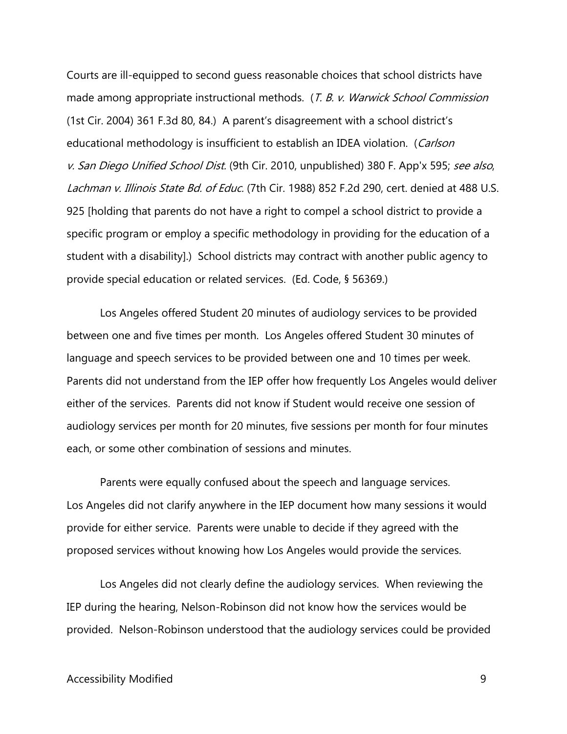Courts are ill-equipped to second guess reasonable choices that school districts have made among appropriate instructional methods. (T. B. v. Warwick School Commission (1st Cir. 2004) 361 F.3d 80, 84.) A parent's disagreement with a school district's educational methodology is insufficient to establish an IDEA violation. (Carlson v. San Diego Unified School Dist. (9th Cir. 2010, unpublished) 380 F. App'x 595; see also, Lachman v. Illinois State Bd. of Educ. (7th Cir. 1988) 852 F.2d 290, cert. denied at 488 U.S. 925 [holding that parents do not have a right to compel a school district to provide a specific program or employ a specific methodology in providing for the education of a student with a disability].) School districts may contract with another public agency to provide special education or related services. (Ed. Code, § 56369.)

 Parents did not understand from the IEP offer how frequently Los Angeles would deliver either of the services. Parents did not know if Student would receive one session of audiology services per month for 20 minutes, five sessions per month for four minutes Los Angeles offered Student 20 minutes of audiology services to be provided between one and five times per month. Los Angeles offered Student 30 minutes of language and speech services to be provided between one and 10 times per week. each, or some other combination of sessions and minutes.

Parents were equally confused about the speech and language services. provide for either service. Parents were unable to decide if they agreed with the Los Angeles did not clarify anywhere in the IEP document how many sessions it would proposed services without knowing how Los Angeles would provide the services.

 Los Angeles did not clearly define the audiology services. When reviewing the IEP during the hearing, Nelson-Robinson did not know how the services would be provided. Nelson-Robinson understood that the audiology services could be provided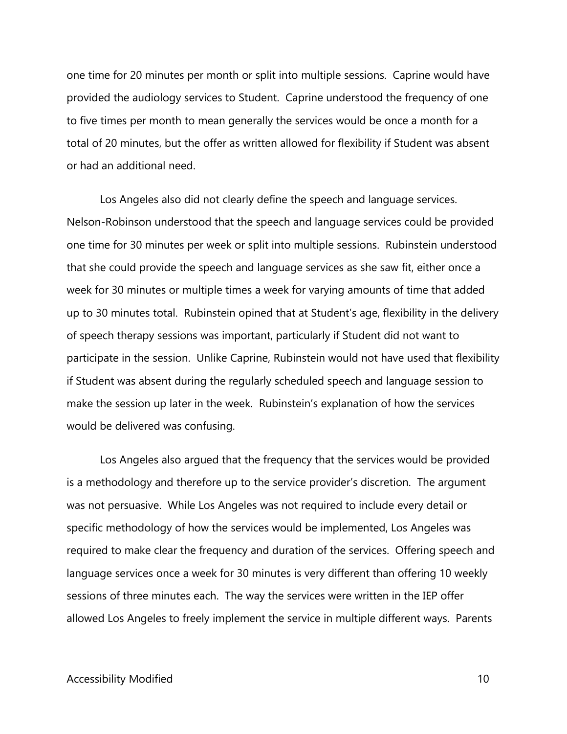one time for 20 minutes per month or split into multiple sessions. Caprine would have provided the audiology services to Student. Caprine understood the frequency of one to five times per month to mean generally the services would be once a month for a total of 20 minutes, but the offer as written allowed for flexibility if Student was absent or had an additional need.

 Nelson-Robinson understood that the speech and language services could be provided make the session up later in the week. Rubinstein's explanation of how the services Los Angeles also did not clearly define the speech and language services. one time for 30 minutes per week or split into multiple sessions. Rubinstein understood that she could provide the speech and language services as she saw fit, either once a week for 30 minutes or multiple times a week for varying amounts of time that added up to 30 minutes total. Rubinstein opined that at Student's age, flexibility in the delivery of speech therapy sessions was important, particularly if Student did not want to participate in the session. Unlike Caprine, Rubinstein would not have used that flexibility if Student was absent during the regularly scheduled speech and language session to would be delivered was confusing.

 is a methodology and therefore up to the service provider's discretion. The argument was not persuasive. While Los Angeles was not required to include every detail or specific methodology of how the services would be implemented, Los Angeles was required to make clear the frequency and duration of the services. Offering speech and Los Angeles also argued that the frequency that the services would be provided language services once a week for 30 minutes is very different than offering 10 weekly sessions of three minutes each. The way the services were written in the IEP offer allowed Los Angeles to freely implement the service in multiple different ways. Parents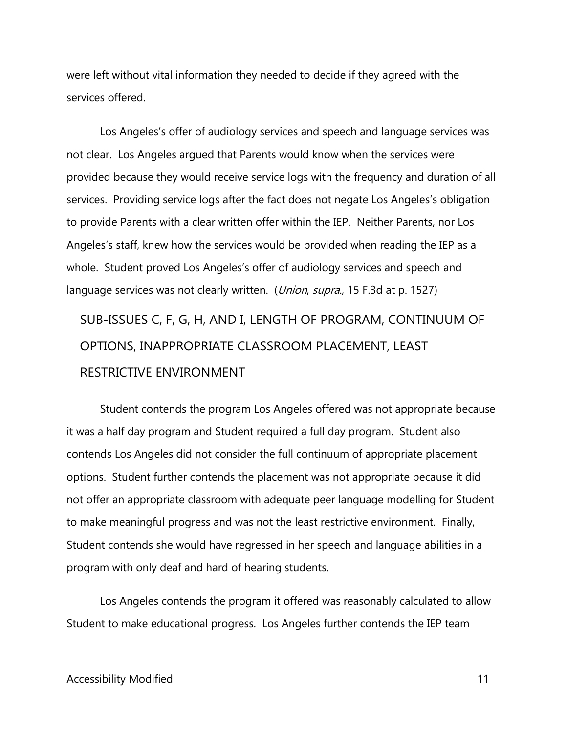were left without vital information they needed to decide if they agreed with the services offered.

 not clear. Los Angeles argued that Parents would know when the services were to provide Parents with a clear written offer within the IEP. Neither Parents, nor Los language services was not clearly written. (Union, supra., 15 F.3d at p. 1527) Los Angeles's offer of audiology services and speech and language services was provided because they would receive service logs with the frequency and duration of all services. Providing service logs after the fact does not negate Los Angeles's obligation Angeles's staff, knew how the services would be provided when reading the IEP as a whole. Student proved Los Angeles's offer of audiology services and speech and

SUB-ISSUES C, F, G, H, AND I, LENGTH OF PROGRAM, CONTINUUM OF OPTIONS, INAPPROPRIATE CLASSROOM PLACEMENT, LEAST RESTRICTIVE ENVIRONMENT

 to make meaningful progress and was not the least restrictive environment. Finally, Student contends the program Los Angeles offered was not appropriate because it was a half day program and Student required a full day program. Student also contends Los Angeles did not consider the full continuum of appropriate placement options. Student further contends the placement was not appropriate because it did not offer an appropriate classroom with adequate peer language modelling for Student Student contends she would have regressed in her speech and language abilities in a program with only deaf and hard of hearing students.

Los Angeles contends the program it offered was reasonably calculated to allow Student to make educational progress. Los Angeles further contends the IEP team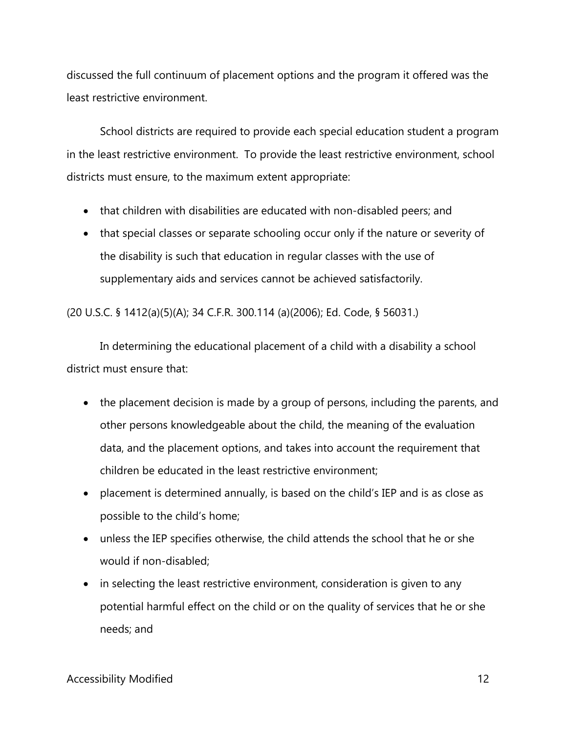discussed the full continuum of placement options and the program it offered was the least restrictive environment.

School districts are required to provide each special education student a program in the least restrictive environment. To provide the least restrictive environment, school districts must ensure, to the maximum extent appropriate:

- that children with disabilities are educated with non-disabled peers; and
- supplementary aids and services cannot be achieved satisfactorily. • that special classes or separate schooling occur only if the nature or severity of the disability is such that education in regular classes with the use of

(20 U.S.C. § 1412(a)(5)(A); 34 C.F.R. 300.114 (a)(2006); Ed. Code, § 56031.)

In determining the educational placement of a child with a disability a school district must ensure that:

- • the placement decision is made by a group of persons, including the parents, and other persons knowledgeable about the child, the meaning of the evaluation data, and the placement options, and takes into account the requirement that children be educated in the least restrictive environment;
- placement is determined annually, is based on the child's IEP and is as close as possible to the child's home;
- unless the IEP specifies otherwise, the child attends the school that he or she would if non-disabled;
- in selecting the least restrictive environment, consideration is given to any potential harmful effect on the child or on the quality of services that he or she needs; and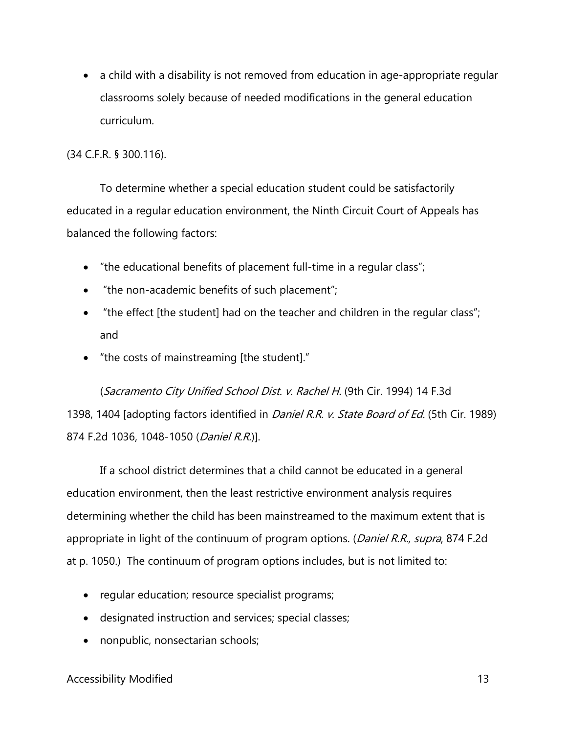classrooms solely because of needed modifications in the general education curriculum. • a child with a disability is not removed from education in age-appropriate regular

(34 C.F.R. § 300.116).

To determine whether a special education student could be satisfactorily educated in a regular education environment, the Ninth Circuit Court of Appeals has balanced the following factors:

- "the educational benefits of placement full-time in a regular class";
- "the non-academic benefits of such placement";
- "the effect [the student] had on the teacher and children in the regular class"; and
- "the costs of mainstreaming [the student]."

(Sacramento City Unified School Dist. v. Rachel H. (9th Cir. 1994) 14 F.3d 1398, 1404 [adopting factors identified in *Daniel R.R. v. State Board of Ed.* (5th Cir. 1989) 874 F.2d 1036, 1048-1050 (*Daniel R.R.*)].

 If a school district determines that a child cannot be educated in a general education environment, then the least restrictive environment analysis requires determining whether the child has been mainstreamed to the maximum extent that is appropriate in light of the continuum of program options. (*Daniel R.R., supra*, 874 F.2d at p. 1050.) The continuum of program options includes, but is not limited to:

- regular education; resource specialist programs;
- designated instruction and services; special classes;
- nonpublic, nonsectarian schools;

#### Accessibility Modified 23 and 23 and 23 and 24 and 25 and 26 and 26 and 26 and 26 and 26 and 26 and 26 and 26  $\pm 13$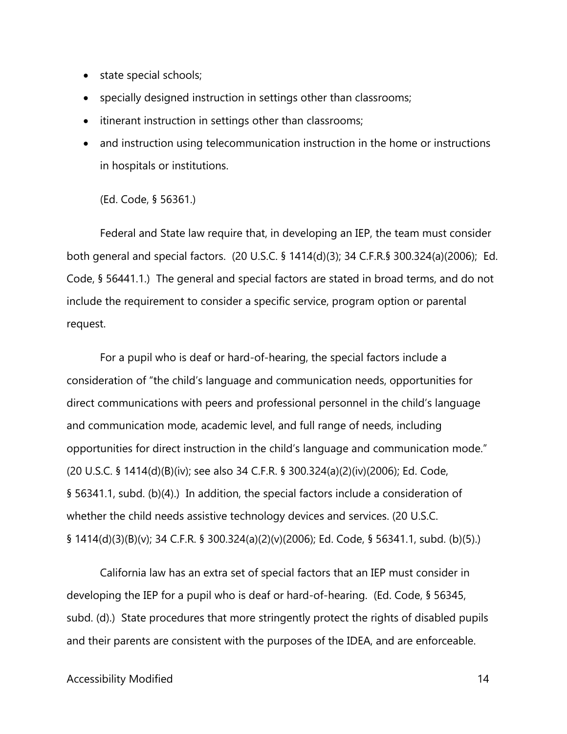- state special schools;
- specially designed instruction in settings other than classrooms;
- itinerant instruction in settings other than classrooms;
- in hospitals or institutions.<br>(Ed. Code, § 56361.) • and instruction using telecommunication instruction in the home or instructions

 both general and special factors. (20 U.S.C. § 1414(d)(3); 34 C.F.R.§ 300.324(a)(2006); Ed. Federal and State law require that, in developing an IEP, the team must consider Code, § 56441.1.) The general and special factors are stated in broad terms, and do not include the requirement to consider a specific service, program option or parental request.

opportunities for direct instruction in the child's language and communication mode." § 56341.1, subd. (b)(4).) In addition, the special factors include a consideration of For a pupil who is deaf or hard-of-hearing, the special factors include a consideration of "the child's language and communication needs, opportunities for direct communications with peers and professional personnel in the child's language and communication mode, academic level, and full range of needs, including (20 U.S.C. § 1414(d)(B)(iv); see also 34 C.F.R. § 300.324(a)(2)(iv)(2006); Ed. Code, whether the child needs assistive technology devices and services. (20 U.S.C. § 1414(d)(3)(B)(v); 34 C.F.R. § 300.324(a)(2)(v)(2006); Ed. Code, § 56341.1, subd. (b)(5).)

and their parents are consistent with the purposes of the IDEA, and are enforceable.<br>Accessibility Modified 14 California law has an extra set of special factors that an IEP must consider in developing the IEP for a pupil who is deaf or hard-of-hearing. (Ed. Code, § 56345, subd. (d).) State procedures that more stringently protect the rights of disabled pupils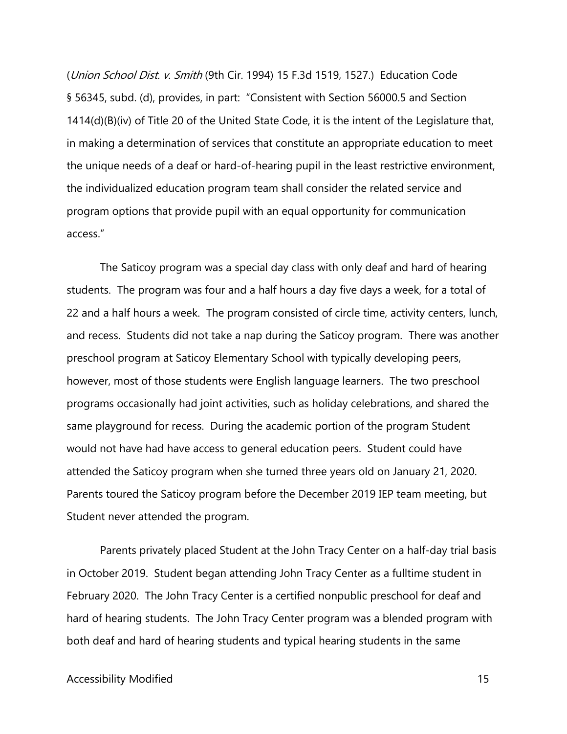the unique needs of a deaf or hard-of-hearing pupil in the least restrictive environment, program options that provide pupil with an equal opportunity for communication (Union School Dist. v. Smith (9th Cir. 1994) 15 F.3d 1519, 1527.) Education Code § 56345, subd. (d), provides, in part: "Consistent with Section 56000.5 and Section 1414(d)(B)(iv) of Title 20 of the United State Code, it is the intent of the Legislature that, in making a determination of services that constitute an appropriate education to meet the individualized education program team shall consider the related service and access."

 students. The program was four and a half hours a day five days a week, for a total of and recess. Students did not take a nap during the Saticoy program. There was another same playground for recess. During the academic portion of the program Student would not have had have access to general education peers. Student could have attended the Saticoy program when she turned three years old on January 21, 2020. The Saticoy program was a special day class with only deaf and hard of hearing 22 and a half hours a week. The program consisted of circle time, activity centers, lunch, preschool program at Saticoy Elementary School with typically developing peers, however, most of those students were English language learners. The two preschool programs occasionally had joint activities, such as holiday celebrations, and shared the Parents toured the Saticoy program before the December 2019 IEP team meeting, but Student never attended the program.

 February 2020. The John Tracy Center is a certified nonpublic preschool for deaf and hard of hearing students. The John Tracy Center program was a blended program with Parents privately placed Student at the John Tracy Center on a half-day trial basis in October 2019. Student began attending John Tracy Center as a fulltime student in both deaf and hard of hearing students and typical hearing students in the same

#### Accessibility Modified 2002 2003 2004 2006 2007 2008 2009 2009 2012 2022 2023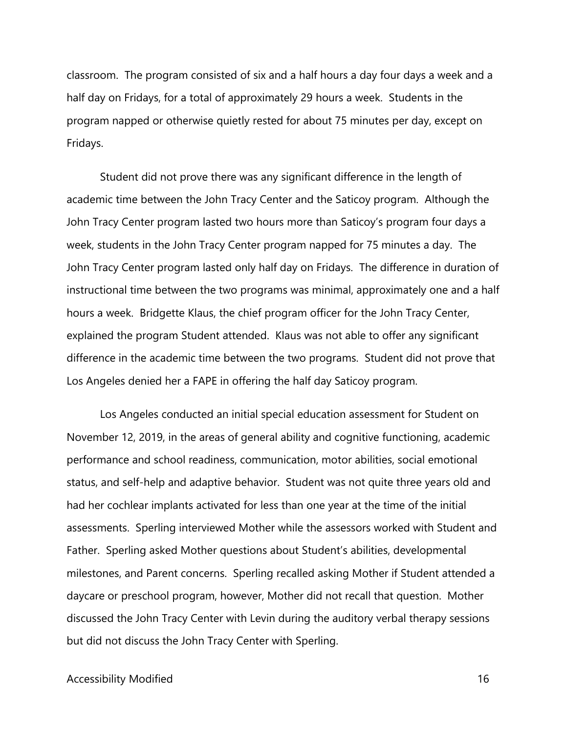classroom. The program consisted of six and a half hours a day four days a week and a half day on Fridays, for a total of approximately 29 hours a week. Students in the program napped or otherwise quietly rested for about 75 minutes per day, except on Fridays.

 academic time between the John Tracy Center and the Saticoy program. Although the explained the program Student attended. Klaus was not able to offer any significant difference in the academic time between the two programs. Student did not prove that Student did not prove there was any significant difference in the length of John Tracy Center program lasted two hours more than Saticoy's program four days a week, students in the John Tracy Center program napped for 75 minutes a day. The John Tracy Center program lasted only half day on Fridays. The difference in duration of instructional time between the two programs was minimal, approximately one and a half hours a week. Bridgette Klaus, the chief program officer for the John Tracy Center, Los Angeles denied her a FAPE in offering the half day Saticoy program.

 Los Angeles conducted an initial special education assessment for Student on November 12, 2019, in the areas of general ability and cognitive functioning, academic daycare or preschool program, however, Mother did not recall that question. Mother discussed the John Tracy Center with Levin during the auditory verbal therapy sessions performance and school readiness, communication, motor abilities, social emotional status, and self-help and adaptive behavior. Student was not quite three years old and had her cochlear implants activated for less than one year at the time of the initial assessments. Sperling interviewed Mother while the assessors worked with Student and Father. Sperling asked Mother questions about Student's abilities, developmental milestones, and Parent concerns. Sperling recalled asking Mother if Student attended a but did not discuss the John Tracy Center with Sperling.

#### Accessibility Modified 2002 2003 2004 2006 2007 2008 2009 2009 2012 2013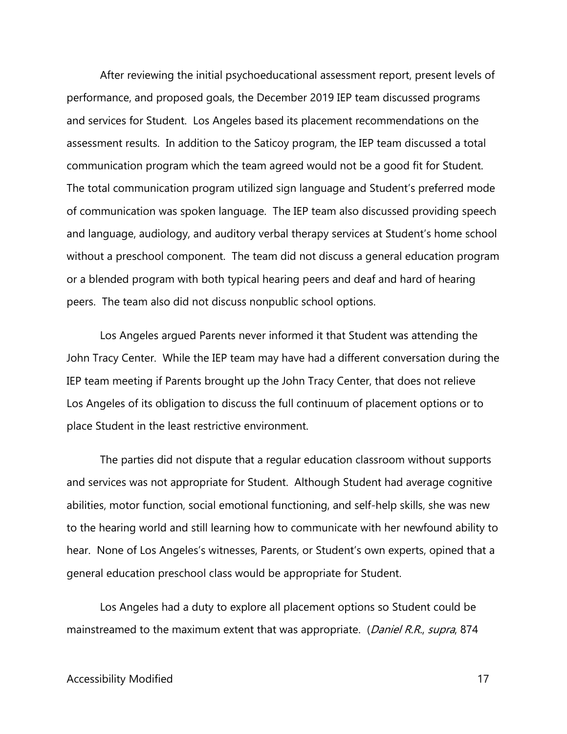and services for Student. Los Angeles based its placement recommendations on the assessment results. In addition to the Saticoy program, the IEP team discussed a total communication program which the team agreed would not be a good fit for Student. peers. The team also did not discuss nonpublic school options. After reviewing the initial psychoeducational assessment report, present levels of performance, and proposed goals, the December 2019 IEP team discussed programs The total communication program utilized sign language and Student's preferred mode of communication was spoken language. The IEP team also discussed providing speech and language, audiology, and auditory verbal therapy services at Student's home school without a preschool component. The team did not discuss a general education program or a blended program with both typical hearing peers and deaf and hard of hearing

 John Tracy Center. While the IEP team may have had a different conversation during the Los Angeles argued Parents never informed it that Student was attending the IEP team meeting if Parents brought up the John Tracy Center, that does not relieve Los Angeles of its obligation to discuss the full continuum of placement options or to place Student in the least restrictive environment.

The parties did not dispute that a regular education classroom without supports and services was not appropriate for Student. Although Student had average cognitive abilities, motor function, social emotional functioning, and self-help skills, she was new to the hearing world and still learning how to communicate with her newfound ability to hear. None of Los Angeles's witnesses, Parents, or Student's own experts, opined that a general education preschool class would be appropriate for Student.

Los Angeles had a duty to explore all placement options so Student could be mainstreamed to the maximum extent that was appropriate. (Daniel R.R., supra, 874)

#### Accessibility Modified 2002 17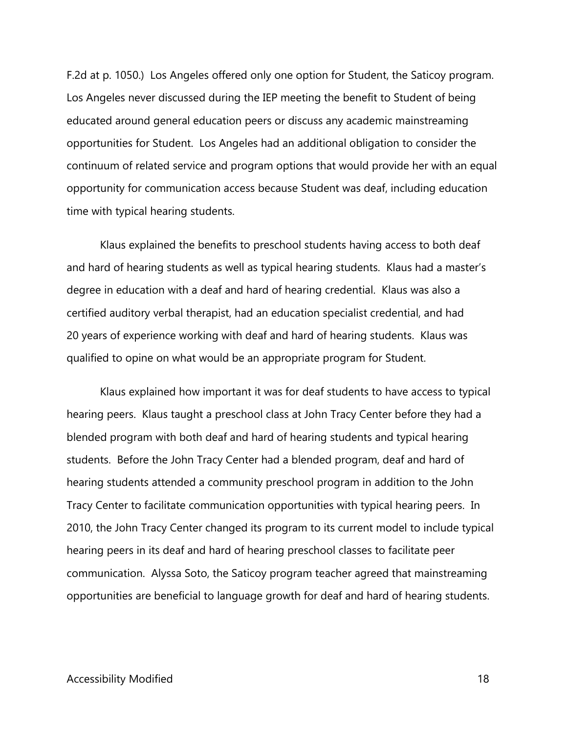F.2d at p. 1050.) Los Angeles offered only one option for Student, the Saticoy program. opportunities for Student. Los Angeles had an additional obligation to consider the opportunity for communication access because Student was deaf, including education Los Angeles never discussed during the IEP meeting the benefit to Student of being educated around general education peers or discuss any academic mainstreaming continuum of related service and program options that would provide her with an equal time with typical hearing students.

 Klaus explained the benefits to preschool students having access to both deaf 20 years of experience working with deaf and hard of hearing students. Klaus was and hard of hearing students as well as typical hearing students. Klaus had a master's degree in education with a deaf and hard of hearing credential. Klaus was also a certified auditory verbal therapist, had an education specialist credential, and had qualified to opine on what would be an appropriate program for Student.

 students. Before the John Tracy Center had a blended program, deaf and hard of Klaus explained how important it was for deaf students to have access to typical hearing peers. Klaus taught a preschool class at John Tracy Center before they had a blended program with both deaf and hard of hearing students and typical hearing hearing students attended a community preschool program in addition to the John Tracy Center to facilitate communication opportunities with typical hearing peers. In 2010, the John Tracy Center changed its program to its current model to include typical hearing peers in its deaf and hard of hearing preschool classes to facilitate peer communication. Alyssa Soto, the Saticoy program teacher agreed that mainstreaming opportunities are beneficial to language growth for deaf and hard of hearing students.

#### Accessibility Modified 2002 2003 2004 2006 2007 2008 2009 2009 2012 2022 2023 2024 2022 2023 2023 2024 2022 20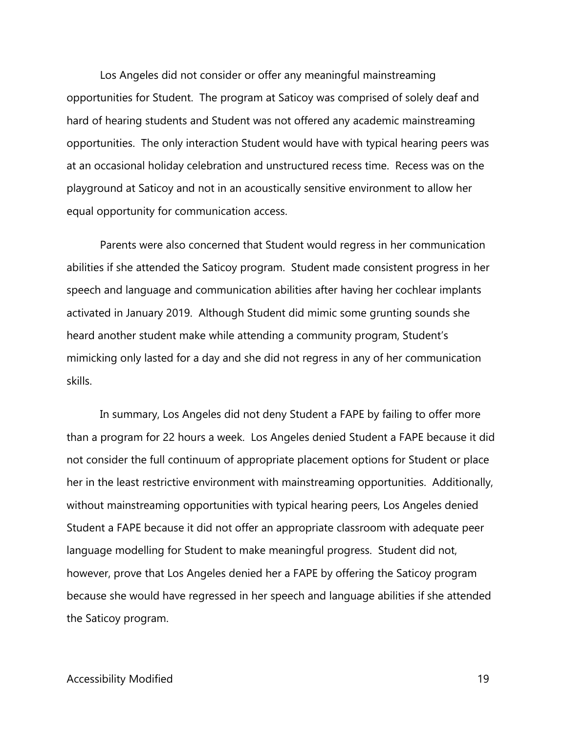opportunities. The only interaction Student would have with typical hearing peers was Los Angeles did not consider or offer any meaningful mainstreaming opportunities for Student. The program at Saticoy was comprised of solely deaf and hard of hearing students and Student was not offered any academic mainstreaming at an occasional holiday celebration and unstructured recess time. Recess was on the playground at Saticoy and not in an acoustically sensitive environment to allow her equal opportunity for communication access.

 abilities if she attended the Saticoy program. Student made consistent progress in her Parents were also concerned that Student would regress in her communication speech and language and communication abilities after having her cochlear implants activated in January 2019. Although Student did mimic some grunting sounds she heard another student make while attending a community program, Student's mimicking only lasted for a day and she did not regress in any of her communication skills.

 than a program for 22 hours a week. Los Angeles denied Student a FAPE because it did In summary, Los Angeles did not deny Student a FAPE by failing to offer more not consider the full continuum of appropriate placement options for Student or place her in the least restrictive environment with mainstreaming opportunities. Additionally, without mainstreaming opportunities with typical hearing peers, Los Angeles denied Student a FAPE because it did not offer an appropriate classroom with adequate peer language modelling for Student to make meaningful progress. Student did not, however, prove that Los Angeles denied her a FAPE by offering the Saticoy program because she would have regressed in her speech and language abilities if she attended the Saticoy program.

#### Accessibility Modified 2002 19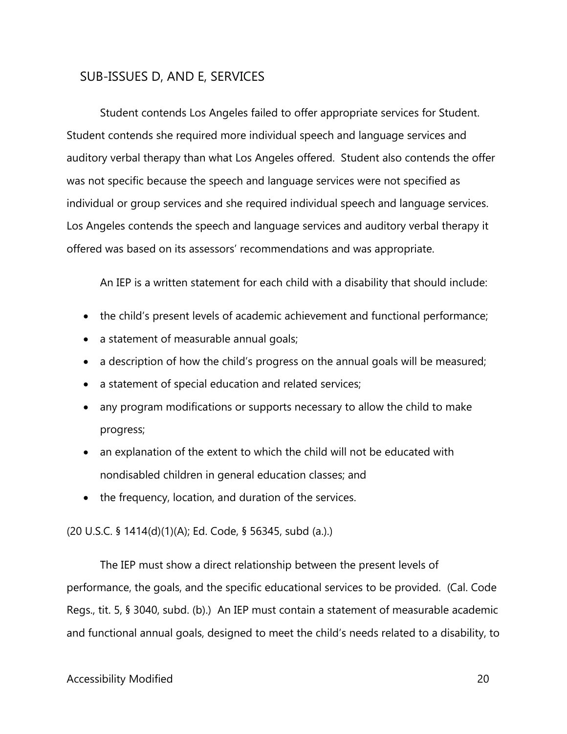## SUB-ISSUES D, AND E, SERVICES

Student contends Los Angeles failed to offer appropriate services for Student. individual or group services and she required individual speech and language services. offered was based on its assessors' recommendations and was appropriate. Student contends she required more individual speech and language services and auditory verbal therapy than what Los Angeles offered. Student also contends the offer was not specific because the speech and language services were not specified as Los Angeles contends the speech and language services and auditory verbal therapy it

An IEP is a written statement for each child with a disability that should include:

- the child's present levels of academic achievement and functional performance;
- a statement of measurable annual goals;
- a description of how the child's progress on the annual goals will be measured;
- a statement of special education and related services;
- any program modifications or supports necessary to allow the child to make progress;
- an explanation of the extent to which the child will not be educated with nondisabled children in general education classes; and
- the frequency, location, and duration of the services.

(20 U.S.C. § 1414(d)(1)(A); Ed. Code, § 56345, subd (a.).)

 Regs., tit. 5, § 3040, subd. (b).) An IEP must contain a statement of measurable academic The IEP must show a direct relationship between the present levels of performance, the goals, and the specific educational services to be provided. (Cal. Code and functional annual goals, designed to meet the child's needs related to a disability, to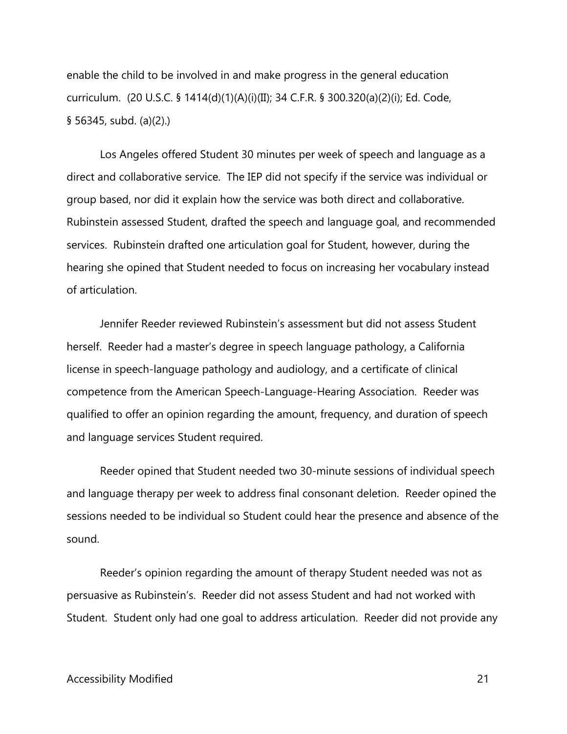§ 56345, subd. (a)(2).) enable the child to be involved in and make progress in the general education curriculum. (20 U.S.C. § 1414(d)(1)(A)(i)(II); 34 C.F.R. § 300.320(a)(2)(i); Ed. Code,

 direct and collaborative service. The IEP did not specify if the service was individual or Los Angeles offered Student 30 minutes per week of speech and language as a group based, nor did it explain how the service was both direct and collaborative. Rubinstein assessed Student, drafted the speech and language goal, and recommended services. Rubinstein drafted one articulation goal for Student, however, during the hearing she opined that Student needed to focus on increasing her vocabulary instead of articulation.

Jennifer Reeder reviewed Rubinstein's assessment but did not assess Student herself. Reeder had a master's degree in speech language pathology, a California license in speech-language pathology and audiology, and a certificate of clinical competence from the American Speech-Language-Hearing Association. Reeder was qualified to offer an opinion regarding the amount, frequency, and duration of speech and language services Student required.

Reeder opined that Student needed two 30-minute sessions of individual speech and language therapy per week to address final consonant deletion. Reeder opined the sessions needed to be individual so Student could hear the presence and absence of the sound.

 Student. Student only had one goal to address articulation. Reeder did not provide any Reeder's opinion regarding the amount of therapy Student needed was not as persuasive as Rubinstein's. Reeder did not assess Student and had not worked with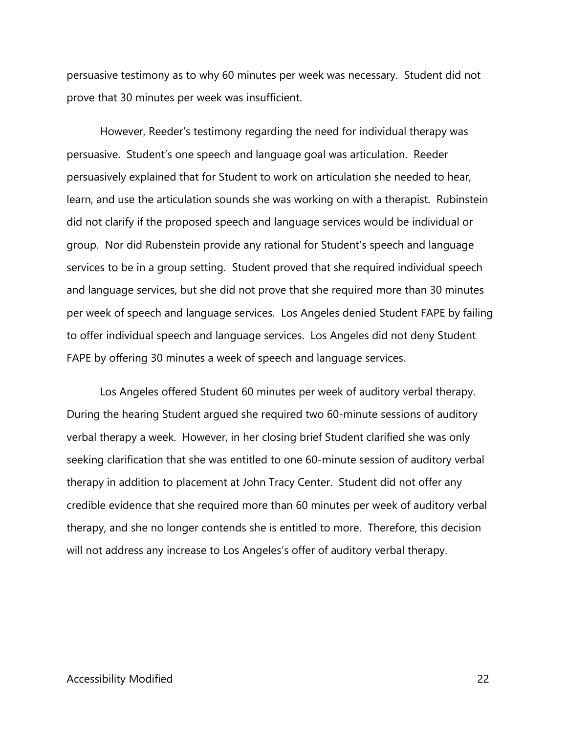persuasive testimony as to why 60 minutes per week was necessary. Student did not prove that 30 minutes per week was insufficient.

 persuasively explained that for Student to work on articulation she needed to hear, learn, and use the articulation sounds she was working on with a therapist. Rubinstein services to be in a group setting. Student proved that she required individual speech per week of speech and language services. Los Angeles denied Student FAPE by failing However, Reeder's testimony regarding the need for individual therapy was persuasive. Student's one speech and language goal was articulation. Reeder did not clarify if the proposed speech and language services would be individual or group. Nor did Rubenstein provide any rational for Student's speech and language and language services, but she did not prove that she required more than 30 minutes to offer individual speech and language services. Los Angeles did not deny Student FAPE by offering 30 minutes a week of speech and language services.

Los Angeles offered Student 60 minutes per week of auditory verbal therapy. therapy, and she no longer contends she is entitled to more. Therefore, this decision will not address any increase to Los Angeles's offer of auditory verbal therapy. During the hearing Student argued she required two 60-minute sessions of auditory verbal therapy a week. However, in her closing brief Student clarified she was only seeking clarification that she was entitled to one 60-minute session of auditory verbal therapy in addition to placement at John Tracy Center. Student did not offer any credible evidence that she required more than 60 minutes per week of auditory verbal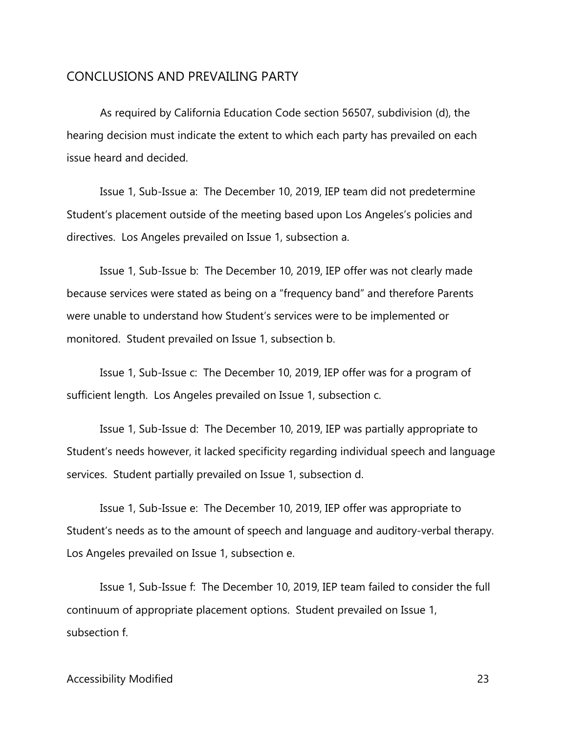#### CONCLUSIONS AND PREVAILING PARTY

As required by California Education Code section 56507, subdivision (d), the hearing decision must indicate the extent to which each party has prevailed on each issue heard and decided.

 directives. Los Angeles prevailed on Issue 1, subsection a. Issue 1, Sub-Issue a: The December 10, 2019, IEP team did not predetermine Student's placement outside of the meeting based upon Los Angeles's policies and

 Issue 1, Sub-Issue b: The December 10, 2019, IEP offer was not clearly made because services were stated as being on a "frequency band" and therefore Parents were unable to understand how Student's services were to be implemented or monitored. Student prevailed on Issue 1, subsection b.

 Issue 1, Sub-Issue c: The December 10, 2019, IEP offer was for a program of sufficient length. Los Angeles prevailed on Issue 1, subsection c.

 services. Student partially prevailed on Issue 1, subsection d. Issue 1, Sub-Issue d: The December 10, 2019, IEP was partially appropriate to Student's needs however, it lacked specificity regarding individual speech and language

Issue 1, Sub-Issue e: The December 10, 2019, IEP offer was appropriate to Student's needs as to the amount of speech and language and auditory-verbal therapy. Los Angeles prevailed on Issue 1, subsection e.

 subsection f. Issue 1, Sub-Issue f: The December 10, 2019, IEP team failed to consider the full continuum of appropriate placement options. Student prevailed on Issue 1,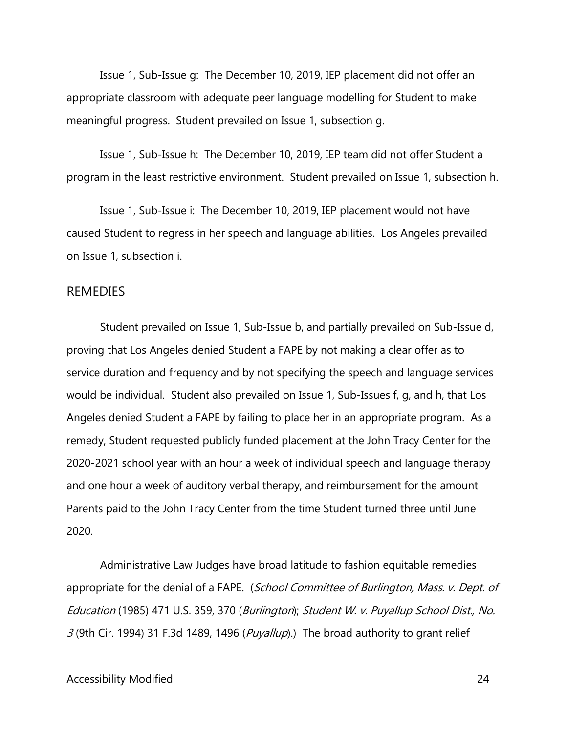appropriate classroom with adequate peer language modelling for Student to make Issue 1, Sub-Issue g: The December 10, 2019, IEP placement did not offer an meaningful progress. Student prevailed on Issue 1, subsection g.

 Issue 1, Sub-Issue h: The December 10, 2019, IEP team did not offer Student a program in the least restrictive environment. Student prevailed on Issue 1, subsection h.

Issue 1, Sub-Issue i: The December 10, 2019, IEP placement would not have caused Student to regress in her speech and language abilities. Los Angeles prevailed on Issue 1, subsection i.

#### REMEDIES

 would be individual. Student also prevailed on Issue 1, Sub-Issues f, g, and h, that Los remedy, Student requested publicly funded placement at the John Tracy Center for the Student prevailed on Issue 1, Sub-Issue b, and partially prevailed on Sub-Issue d, proving that Los Angeles denied Student a FAPE by not making a clear offer as to service duration and frequency and by not specifying the speech and language services Angeles denied Student a FAPE by failing to place her in an appropriate program. As a 2020-2021 school year with an hour a week of individual speech and language therapy and one hour a week of auditory verbal therapy, and reimbursement for the amount Parents paid to the John Tracy Center from the time Student turned three until June 2020.

Administrative Law Judges have broad latitude to fashion equitable remedies appropriate for the denial of a FAPE. (School Committee of Burlington, Mass. v. Dept. of Education (1985) 471 U.S. 359, 370 (Burlington); Student W. v. Puyallup School Dist., No.  $3$  (9th Cir. 1994) 31 F.3d 1489, 1496 (Puyallup).) The broad authority to grant relief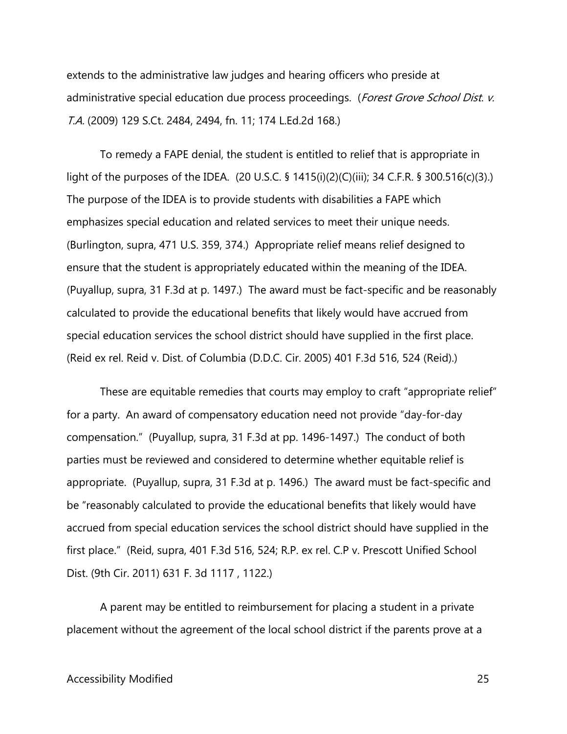extends to the administrative law judges and hearing officers who preside at administrative special education due process proceedings. (Forest Grove School Dist. v. T.A. (2009) 129 S.Ct. 2484, 2494, fn. 11; 174 L.Ed.2d 168.)

 To remedy a FAPE denial, the student is entitled to relief that is appropriate in emphasizes special education and related services to meet their unique needs. ensure that the student is appropriately educated within the meaning of the IDEA. special education services the school district should have supplied in the first place. light of the purposes of the IDEA. (20 U.S.C. § 1415(i)(2)(C)(iii); 34 C.F.R. § 300.516(c)(3).) The purpose of the IDEA is to provide students with disabilities a FAPE which (Burlington, supra, 471 U.S. 359, 374.) Appropriate relief means relief designed to (Puyallup, supra, 31 F.3d at p. 1497.) The award must be fact-specific and be reasonably calculated to provide the educational benefits that likely would have accrued from (Reid ex rel. Reid v. Dist. of Columbia (D.D.C. Cir. 2005) 401 F.3d 516, 524 (Reid).)

 appropriate. (Puyallup, supra, 31 F.3d at p. 1496.) The award must be fact-specific and These are equitable remedies that courts may employ to craft "appropriate relief" for a party. An award of compensatory education need not provide "day-for-day compensation." (Puyallup, supra, 31 F.3d at pp. 1496-1497.) The conduct of both parties must be reviewed and considered to determine whether equitable relief is be "reasonably calculated to provide the educational benefits that likely would have accrued from special education services the school district should have supplied in the first place." (Reid, supra, 401 F.3d 516, 524; R.P. ex rel. C.P v. Prescott Unified School Dist. (9th Cir. 2011) 631 F. 3d 1117 , 1122.)

A parent may be entitled to reimbursement for placing a student in a private placement without the agreement of the local school district if the parents prove at a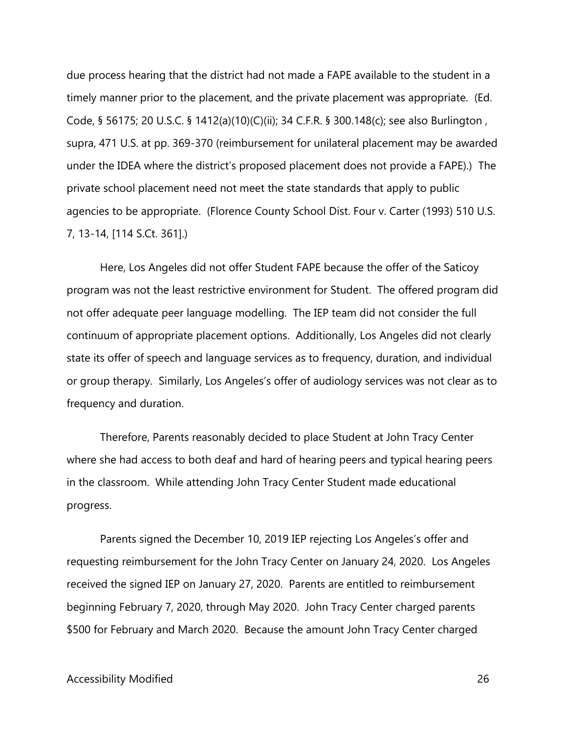under the IDEA where the district's proposed placement does not provide a FAPE).) The private school placement need not meet the state standards that apply to public due process hearing that the district had not made a FAPE available to the student in a timely manner prior to the placement, and the private placement was appropriate. (Ed. Code, § 56175; 20 U.S.C. § 1412(a)(10)(C)(ii); 34 C.F.R. § 300.148(c); see also Burlington , supra, 471 U.S. at pp. 369-370 (reimbursement for unilateral placement may be awarded agencies to be appropriate. (Florence County School Dist. Four v. Carter (1993) 510 U.S. 7, 13-14, [114 S.Ct. 361].)

 or group therapy. Similarly, Los Angeles's offer of audiology services was not clear as to Here, Los Angeles did not offer Student FAPE because the offer of the Saticoy program was not the least restrictive environment for Student. The offered program did not offer adequate peer language modelling. The IEP team did not consider the full continuum of appropriate placement options. Additionally, Los Angeles did not clearly state its offer of speech and language services as to frequency, duration, and individual frequency and duration.

Therefore, Parents reasonably decided to place Student at John Tracy Center where she had access to both deaf and hard of hearing peers and typical hearing peers in the classroom. While attending John Tracy Center Student made educational progress.

Parents signed the December 10, 2019 IEP rejecting Los Angeles's offer and requesting reimbursement for the John Tracy Center on January 24, 2020. Los Angeles received the signed IEP on January 27, 2020. Parents are entitled to reimbursement beginning February 7, 2020, through May 2020. John Tracy Center charged parents \$500 for February and March 2020. Because the amount John Tracy Center charged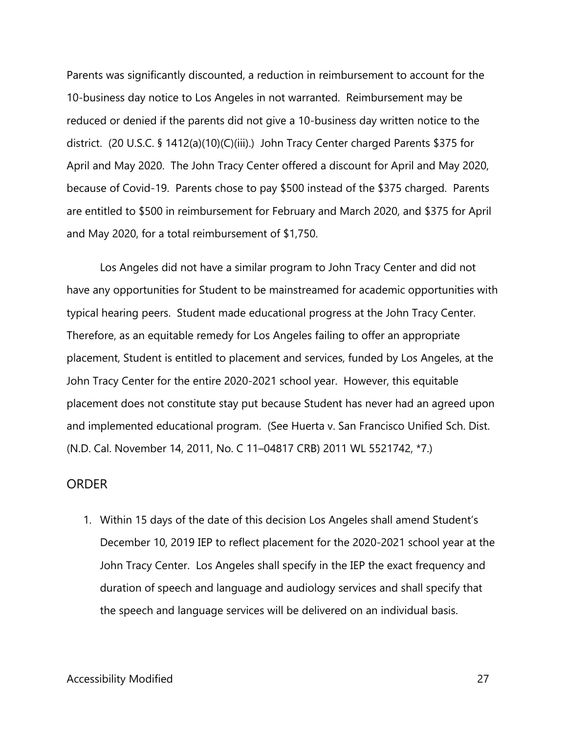reduced or denied if the parents did not give a 10-business day written notice to the April and May 2020. The John Tracy Center offered a discount for April and May 2020, Parents was significantly discounted, a reduction in reimbursement to account for the 10-business day notice to Los Angeles in not warranted. Reimbursement may be district. (20 U.S.C. § 1412(a)(10)(C)(iii).) John Tracy Center charged Parents \$375 for because of Covid-19. Parents chose to pay \$500 instead of the \$375 charged. Parents are entitled to \$500 in reimbursement for February and March 2020, and \$375 for April and May 2020, for a total reimbursement of \$1,750.

Los Angeles did not have a similar program to John Tracy Center and did not have any opportunities for Student to be mainstreamed for academic opportunities with typical hearing peers. Student made educational progress at the John Tracy Center. Therefore, as an equitable remedy for Los Angeles failing to offer an appropriate placement, Student is entitled to placement and services, funded by Los Angeles, at the John Tracy Center for the entire 2020-2021 school year. However, this equitable placement does not constitute stay put because Student has never had an agreed upon and implemented educational program. (See Huerta v. San Francisco Unified Sch. Dist. (N.D. Cal. November 14, 2011, No. C 11–04817 CRB) 2011 WL 5521742, \*7.)

#### ORDER

 December 10, 2019 IEP to reflect placement for the 2020-2021 school year at the John Tracy Center. Los Angeles shall specify in the IEP the exact frequency and duration of speech and language and audiology services and shall specify that the speech and language services will be delivered on an individual basis. 1. Within 15 days of the date of this decision Los Angeles shall amend Student's